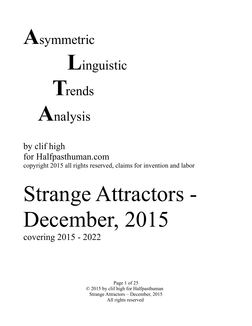

# **L**inguistic **T**rends **A**nalysis

by clif high for Halfpasthuman.com copyright 2015 all rights reserved, claims for invention and labor

# Strange Attractors - December, 2015

covering 2015 - 2022

Page 1 of 25 © 2015 by clif high for Halfpasthuman Strange Attractors – December, 2015 All rights reserved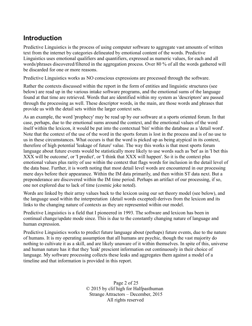# **Introduction**

Predictive Linguistics is the process of using computer software to aggregate vast amounts of written text from the internet by categories delineated by emotional content of the words. Predictive Linguistics uses emotional qualifiers and quantifiers, expressed as numeric values, for each and all words/phrases discovered/filtered in the aggregation process. Over 80 % of all the words gathered will be discarded for one or more reasons.

Predictive Linguistics works as NO conscious expressions are processed through the software.

Rather the contexts discussed within the report in the form of entities and linguistic structures (see below) are read up in the various intake software programs, and the emotional sums of the language found at that time are retrieved. Words that are identified within my system as 'descriptors' are passed through the processing as well. These descriptor words, in the main, are those words and phrases that provide us with the detail sets within the larger context sets.

As an example, the word 'prophecy' may be read up by our software at a sports oriented forum. In that case, perhaps, due to the emotional sums around the context, and the emotional values of the word itself within the lexicon, it would be put into the contextual 'bin' within the database as a 'detail word'. Note that the context of the use of the word in the sports forum is lost in the process and is of no use to us in these circumstances. What occurs is that the word is picked up as being atypical in its context, therefore of high potential 'leakage of future' value. The way this works is that most sports forum language about future events would be statistically more likely to use words such as 'bet' as in 'I bet this XXX will be outcome', or 'I predict', or 'I think that XXX will happen'. So it is the context plus emotional values plus rarity of use within the context that flags words for inclusion in the detail level of the data base. Further, it is worth noting that most detail level words are encountered in our processing mere days before their appearance. Within the IM data primarily, and then within ST data next. But a preponderance are discovered within the IM time period. Perhaps an artifact of our processing, if so, one not explored due to lack of time (cosmic joke noted).

Words are linked by their array values back to the lexicon using our set theory model (see below), and the language used within the interpretation (detail words excepted) derives from the lexicon and its links to the changing nature of contexts as they are represented within our model.

Predictive Linguistics is a field that I pioneered in 1993. The software and lexicon has been in continual change/update mode since. This is due to the constantly changing nature of language and human expression.

Predictive Linguistics works to predict future language about (perhaps) future events, due to the nature of humans. It is my operating assumption that all humans are psychic, though the vast majority do nothing to cultivate it as a skill, and are likely unaware of it within themselves. In spite of this, universe and human nature has it that they 'leak' prescient information out continuously in their choice of language. My software processing collects these leaks and aggregates them against a model of a timeline and that information is provided in this report.

> Page 2 of 25 © 2015 by clif high for Halfpasthuman Strange Attractors – December, 2015 All rights reserved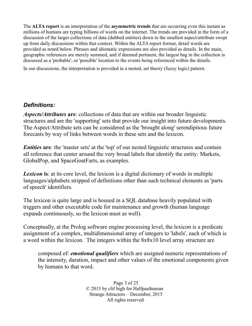The **ALTA report** is an interpretation of the **asymmetric trends** that are occurring even this instant as millions of humans are typing billions of words on the internet. The trends are provided in the form of a discussion of the larger collections of data (dubbed entities) down to the smallest aspect/attribute swept up from daily discussions within that context. Within the ALTA report format, detail words are provided as noted below. Phrases and idiomatic expressions are also provided as details. In the main, geographic references are merely summed, and if deemed pertinent, the largest bag in the collection is discussed as a 'probable', or 'possible' location to the events being referenced within the details.

In our discussions, the interpretation is provided in a nested, set theory (fuzzy logic) pattern.

# *Definitions:*

*Aspects/Attributes* **are**: collections of data that are within our broader linguistic structures and are the 'supporting' sets that provide our insight into future developments. The Aspect/Attribute sets can be considered as the 'brought along' serendipitous future forecasts by way of links between words in these sets and the lexicon.

*Entities* are: the 'master sets' at the 'top' of our nested linguistic structures and contain all reference that center around the very broad labels that identify the entity: Markets, GlobalPop, and SpaceGoatFarts, as examples.

**Lexicon** is: at its core level, the lexicon is a digital dictionary of words in multiple languages/alphabets stripped of definitions other than such technical elements as 'parts of speech' identifiers.

The lexicon is quite large and is housed in a SQL database heavily populated with triggers and other executable code for maintenance and growth (human language expands continuously, so the lexicon must as well).

Conceptually, at the Prolog software engine processing level, the lexicon is a predicate assignment of a complex, multidimensional array of integers to 'labels', each of which is a word within the lexicon. The integers within the 8x8x10 level array structure are

composed of: *emotional qualifiers* which are assigned numeric representations of the intensity, duration, impact and other values of the emotional components given by humans to that word.

> Page 3 of 25 © 2015 by clif high for Halfpasthuman Strange Attractors – December, 2015 All rights reserved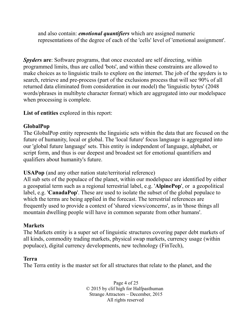and also contain: *emotional quantifiers* which are assigned numeric representations of the degree of each of the 'cells' level of 'emotional assignment'.

*Spyders* **are**: Software programs, that once executed are self directing, within programmed limits, thus are called 'bots', and within these constraints are allowed to make choices as to linguistic trails to explore on the internet. The job of the spyders is to search, retrieve and pre-process (part of the exclusions process that will see 90% of all returned data eliminated from consideration in our model) the 'linguistic bytes' (2048 words/phrases in multibyte character format) which are aggregated into our modelspace when processing is complete.

**List of entities** explored in this report:

# **GlobalPop**

The GlobalPop entity represents the linguistic sets within the data that are focused on the future of humanity, local or global. The 'local future' focus language is aggregated into our 'global future language' sets. This entity is independent of language, alphabet, or script form, and thus is our deepest and broadest set for emotional quantifiers and qualifiers about humanity's future.

**USAPop** (and any other nation state/territorial reference)

All sub sets of the populace of the planet, within our modelspace are identified by either a geospatial term such as a regional terrestrial label, e.g. '**AlpinePop**', or a geopolitical label, e.g. '**CanadaPop**'. These are used to isolate the subset of the global populace to which the terms are being applied in the forecast. The terrestrial references are frequently used to provide a context of 'shared views/concerns', as in 'those things all mountain dwelling people will have in common separate from other humans'.

# **Markets**

The Markets entity is a super set of linguistic structures covering paper debt markets of all kinds, commodity trading markets, physical swap markets, currency usage (within populace), digital currency developments, new technology (FinTech),

# **Terra**

The Terra entity is the master set for all structures that relate to the planet, and the

Page 4 of 25 © 2015 by clif high for Halfpasthuman Strange Attractors – December, 2015 All rights reserved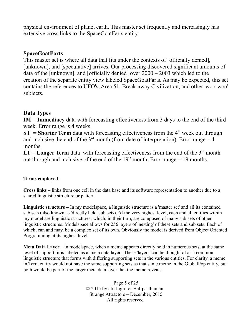physical environment of planet earth. This master set frequently and increasingly has extensive cross links to the SpaceGoatFarts entity.

# **SpaceGoatFarts**

This master set is where all data that fits under the contexts of [officially denied], [unknown], and [speculative] arrives. Our processing discovered significant amounts of data of the [unknown], and [officially denied] over 2000 – 2003 which led to the creation of the separate entity view labeled SpaceGoatFarts. As may be expected, this set contains the references to UFO's, Area 51, Break-away Civilization, and other 'woo-woo' subjects.

## **Data Types**

**IM = Immediacy** data with forecasting effectiveness from 3 days to the end of the third week. Error range is 4 weeks.

**ST** = **Shorter Term** data with forecasting effectiveness from the  $4<sup>th</sup>$  week out through and inclusive the end of the  $3<sup>rd</sup>$  month (from date of interpretation). Error range = 4 months.

 $LT = Longer Term data$  with forecasting effectiveness from the end of the  $3<sup>rd</sup>$  month out through and inclusive of the end of the  $19<sup>th</sup>$  month. Error range = 19 months.

### **Terms employed**:

**Cross links** – links from one cell in the data base and its software representation to another due to a shared linguistic structure or pattern.

**Linguistic structure –** In my modelspace, a linguistic structure is a 'master set' and all its contained sub sets (also known as 'directly held' sub sets). At the very highest level, each and all entities within my model are linguistic structures; which, in their turn, are composed of many sub sets of other linguistic structures. Modelspace allows for 256 layers of 'nesting' of these sets and sub sets. Each of which, can and may, be a complex set of its own. Obviously the model is derived from Object Oriented Programming at its highest level.

**Meta Data Layer** – in modelspace, when a meme appears directly held in numerous sets, at the same level of support, it is labeled as a 'meta data layer'. These 'layers' can be thought of as a common linguistic structure that forms with differing supporting sets in the various entities. For clarity, a meme in Terra entity would not have the same supporting sets as that same meme in the GlobalPop entity, but both would be part of the larger meta data layer that the meme reveals.

> Page 5 of 25 © 2015 by clif high for Halfpasthuman Strange Attractors – December, 2015 All rights reserved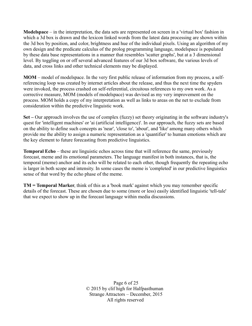**Modelspace** – in the interpretation, the data sets are represented on screen in a 'virtual box' fashion in which a 3d box is drawn and the lexicon linked words from the latest data processing are shown within the 3d box by position, and color, brightness and hue of the individual pixels. Using an algorithm of my own design and the predicate calculus of the prolog programming language, modelspace is populated by these data base representations in a manner that resembles 'scatter graphs', but at a 3 dimensional level. By toggling on or off several advanced features of our 3d box software, the various levels of data, and cross links and other technical elements may be displayed.

**MOM** – model of modelspace. In the very first public release of information from my process, a selfreferencing loop was created by internet articles about the release, and thus the next time the spyders were invoked, the process crashed on self-referential, circuitous references to my own work. As a corrective measure, MOM (models of modelspace) was devised as my very improvement on the process. MOM holds a copy of my interpretation as well as links to areas on the net to exclude from consideration within the predictive linguistic work.

**Set –** Our approach involves the use of complex (fuzzy) set theory originating in the software industry's quest for 'intelligent machines' or 'ai (artificial intelligence)'. In our approach, the fuzzy sets are based on the ability to define such concepts as 'near', 'close to', 'about', and 'like' among many others which provide me the ability to assign a numeric representation as a 'quantifier' to human emotions which are the key element to future forecasting from predictive linguistics.

**Temporal Echo** – these are linguistic echos across time that will reference the same, previously forecast, meme and its emotional parameters. The language manifest in both instances, that is, the temporal (meme) anchor and its echo will be related to each other, though frequently the repeating echo is larger in both scope and intensity. In some cases the meme is 'completed' in our predictive linguistics sense of that word by the echo phase of the meme.

**TM = Temporal Marker**, think of this as a 'book mark' against which you may remember specific details of the forecast. These are chosen due to some (more or less) easily identified linguistic 'tell-tale' that we expect to show up in the forecast language within media discussions.

> Page 6 of 25 © 2015 by clif high for Halfpasthuman Strange Attractors – December, 2015 All rights reserved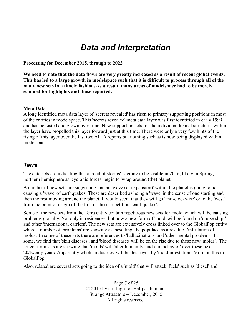# *Data and Interpretation*

**Processing for December 2015, through to 2022**

**We need to note that the data flows are very greatly increased as a result of recent global events. This has led to a large growth in modelspace such that it is difficult to process through all of the many new sets in a timely fashion. As a result, many areas of modelspace had to be merely scanned for highlights and those reported.** 

#### **Meta Data**

A long identified meta data layer of 'secrets revealed' has risen to primary supporting positions in most of the entities in modelspace. This 'secrets revealed' meta data layer was first identified in early 1999 and has persisted and grown over time. New supporting sets for the individual lexical structures within the layer have propelled this layer forward just at this time. There were only a very few hints of the rising of this layer over the last two ALTA reports but nothing such as is now being displayed within modelspace.

#### *Terra*

The data sets are indicating that a 'road of storms' is going to be visible in 2016, likely in Spring, northern hemisphere as 'cyclonic forces' begin to 'wrap around (the) planet'.

A number of new sets are suggesting that an 'wave (of expansion)' within the planet is going to be causing a 'wave' of earthquakes. These are described as being a 'wave' in the sense of one starting and then the rest moving around the planet. It would seem that they will go 'anti-clockwise' or to the 'west' from the point of origin of the first of these 'repetitious earthquakes'.

Some of the new sets from the Terra entity contain repetitious new sets for 'mold' which will be causing problems globally. Not only in residences, but now a new form of 'mold' will be found on 'cruise ships' and other 'international carriers'. The new sets are extensively cross linked over to the GlobalPop entity where a number of 'problems' are showing as 'besetting' the populace as a result of 'infestation of molds'. In some of these sets there are references to 'hallucinations' and 'other mental problems'. In some, we find that 'skin diseases', and 'blood diseases' will be on the rise due to these new 'molds'. The longer term sets are showing that 'molds' will 'alter humanity' and our 'behavior' over these next 20/twenty years. Apparently whole 'industries' will be destroyed by 'mold infestation'. More on this in GlobalPop.

Also, related are several sets going to the idea of a 'mold' that will attack 'fuels' such as 'diesel' and

Page 7 of 25 © 2015 by clif high for Halfpasthuman Strange Attractors – December, 2015 All rights reserved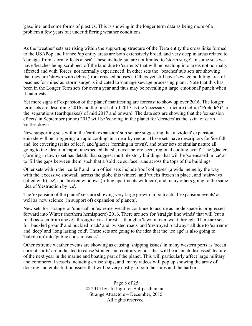'gasoline' and some forms of plastics. This is showing in the longer term data as being more of a problem a few years out under differing weather conditions.

As the 'weather' sets are rising within the supporting structure of the Terra entity the cross links formed to the USAPop and FrancePop entity areas are both extensively broad, and very deep in areas related to 'damage' from 'storm effects at sea'. These include but are not limited to 'storm surge'. In some sets we have 'beaches being scrubbed' off the land due to 'currents' that will be reaching into areas not normally affected and with 'forces' not normally experienced. In other sets the 'beaches' sub sets are showing that they are 'strewn with debris (from crushed houses)'. Others yet still have 'sewage polluting area of beaches for miles' as 'storm surge' is indicated to 'damage sewage processing plant'. Note that this has been in the Longer Term sets for over a year and thus may be revealing a large 'emotional' punch when it manifests.

Yet more signs of 'expansion of the planet' manifesting are forecast to show up over 2016. The longer term sets are describing 2016 and the first half of 2017 as the 'necessary structure (set-up? Prelude?) ' to the 'separations (earthquakes)' of mid 2017 and onward. The data sets are showing that the 'expansion effects' in September (or so) 2017 will be 'echoing' in the planet for 'decades' as the 'skin' of earth 'settles down'.

New supporting sets within the 'earth expansion' sub set are suggesting that a 'violent' expansion episode will be 'triggering' a 'rapid cooling' in a near by region. These sets have descriptors for 'ice fall', and 'ice covering (rains of ice)', and 'glacier (forming in town)', and other sets of similar nature all going to the idea of a 'rapid, unexpected, harsh, never-before-seen, regional cooling event'. The 'glacier (forming in town)' set has details that suggest multiple story buildings that will be 'so encased in ice' as to 'fill the gaps between them' such that a 'sold ice surface' runs across the tops of the buildings.

Other sets within the 'ice fall' and 'rain of ice' sets include 'roof collapses' (a wide meme by the way with the 'excessive snowfall' across the globe this winter), and 'trucks frozen in place', and 'stairways (filled with) ice', and 'broken windows (filling apartments with ice)', and many others going to the same idea of 'destruction by ice'.

The 'expansion of the planet' sets are showing very large growth in both actual 'expansion events' as well as 'new science (in support of) expansion of planets'.

New sets for 'strange' or 'unusual' or 'extreme' weather continue to accrue as modelspace is progressed forward into Winter (northern hemisphere) 2016. There are sets for 'straight line winds' that will 'cut a road (as seen from above)' through a vast forest as though a 'lawn mover' went through. There are sets for 'buckled ground' and buckled roads' and 'twisted roads' and 'destroyed roadways' all due to 'extreme' and 'deep' and 'long lasting cold'. These sets are going to the idea that the 'ice age' is also going to 'bubble up' into 'public consciousness'.

Other extreme weather events are showing as causing 'shipping issues' in many western ports as 'ocean current shifts' are indicated to cause 'strange and contrary winds' that will be a 'much discussed' feature of the next year in the marine and boating part of the planet. This will particularly affect large military and commercial vessels including cruise ships, and many videos will pop up showing the array of docking and embarkation issues that will be very costly to both the ships and the harbors.

> Page 8 of 25 © 2015 by clif high for Halfpasthuman Strange Attractors – December, 2015 All rights reserved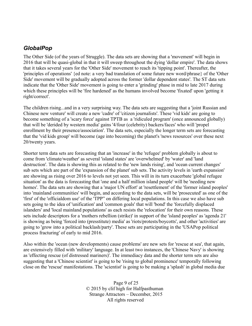## *GlobalPop*

The Other Side (of the years of Struggle). The data sets are showing that a 'movement' will begin in 2016 that will be quasi-global in that it will sweep throughout the dying 'dollar empire'. The data shows that it takes several years for the 'Other Side' movement to reach its 'tipping point'. Thereafter, the 'principles of operations' {ed note: a very bad translation of some future new word/phrase} of the 'Other Side' movement will be gradually adopted across the former 'dollar dependent states'. The ST data sets indicate that the 'Other Side' movement is going to enter a 'grinding' phase in mid to late 2017 during which these principles will be 'fire hardened' as the humans involved become 'fixated' upon 'getting it right/correct'.

The children rising...and in a very surprising way. The data sets are suggesting that a 'joint Russian and Chinese new venture' will create a new 'cadre' of 'citizen journalists'. These 'vid kids' are going to become something of a 'scary force' against TPTB as a 'ridiculed program' (once announced globally) that will be 'derided by western media' gains '4/four (celebrity) backers/faces' who will 'propel enrollment by their presence/association'. The data sets, especially the longer term sets are forecasting that the 'vid kids group' will become (age into becoming) the planet's 'news resources' over these next 20/twenty years.

Shorter term data sets are forecasting that an 'increase' in the 'refugee' problem globally is about to come from 'climate/weather' as several 'island states' are 'overwhelmed' by 'water' and 'land destruction'. The data is showing this as related to the 'new lands rising', and 'ocean current changes' sub sets which are part of the 'expansion of the planet' sub sets. The activity levels in 'earth expansion' are showing as rising over 2016 to levels not yet seen. This will in its turn exacerbate 'global refugee situation' as the data is forecasting that 'one and a half million island people' will be 'needing new homes'. The data sets are showing that a 'major UN effort' at 'resettlement' of the 'former island peoples' into 'mainland communities' will begin, and according to the data sets, will be 'prosecuted' as one of the 'first' of the 'officialdom use' of the 'TPP" on differing local populations. In this case we also have sub sets going to the idea of 'unification' and 'common goals' that will 'bond' the 'forcefully displaced islanders' and 'local mainland populations' as each resists the 'relocation' for their own reasons. These sets include descriptors for a 'mothers rebellion (strike)' in support of the 'island peoples' as 'agenda 21' is showing as being 'forced into (presstitute) media' as 'riots/protests/boycotts', and other 'activities' are going to 'grow into a political backlash/party'. These sets are participating in the 'USAPop political process fracturing' of early to mid 2016.

Also within the 'ocean (new developments) cause problems' are new sets for 'rescue at sea', that again, are extensively filled with 'military' language. In at least two instances, the 'Chinese Navy' is showing as 'effecting rescue (of distressed mariners)'. The immediacy data and the shorter term sets are also suggesting that a 'Chinese scientist' is going to be 'rising to global prominence' temporally following close on the 'rescue' manifestations. The 'scientist' is going to be making a 'splash' in global media due

> Page 9 of 25 © 2015 by clif high for Halfpasthuman Strange Attractors – December, 2015 All rights reserved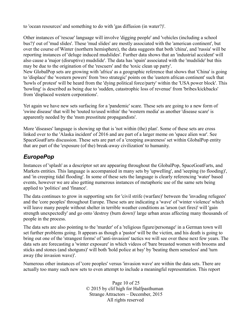to 'ocean resources' and something to do with 'gas diffusion (in water?)'.

Other instances of 'rescue' language will involve 'digging people' and 'vehicles (including a school bus?)' out of 'mud slides'. These 'mud slides' are mostly associated with the 'american continent', but over the course of Winter (northern hemisphere), the data suggests that both 'china', and 'russia' will be reporting instances of 'deluge induced mudslides'. Further data shows that an 'industrial accident' will also cause a 'major (disruptive) mudslide'. The data has 'spain' associated with the 'mudslide' but this may be due to the origination of the 'rescuers' and the 'toxic clean up party'.

New GlobalPop sets are growing with 'africa' as a geographic reference that shows that 'China' is going to 'displace' the 'western powers' from 'two strategic' points on the 'eastern african continent' such that 'howls of protest' will be heard from the 'dying political force/party' within the 'USA power block'. This 'howling' is described as being due to 'sudden, catastrophic loss of revenue' from 'bribes/kickbacks' from 'displaced western corporations'.

Yet again we have new sets surfacing for a 'pandemic' scare. These sets are going to a new form of 'swine disease' that will be 'touted to/used within' the 'western media' as another 'disease scare' is apparently needed by the 'msm presstitute propagandists'.

More 'diseases' language is showing up that is 'not within (the) plan'. Some of these sets are cross linked over to the 'Alaska incident' of 2016 and are part of a larger meme on 'space alien war'. See SpaceGoatFarts discussion. These sets are part of a 'creeping awareness' set within GlobalPop entity that are part of the 'exposure (of the) break-away civilization' to humanity.

# *EuropePop*

Instances of 'splash' as a descriptor set are appearing throughout the GlobalPop, SpaceGoatFarts, and Markets entities. This language is accompanied in many sets by 'upwelling', and 'seeping (to flooding)', and 'in creeping tidal flooding'. In some of these sets the language is clearly referencing 'water' based events, however we are also getting numerous instances of metaphoric use of the same sets being applied to 'politics' and 'finance'.

The data continues to grow in supporting sets for 'civil strife (warfare)' between the 'invading refugees' and the 'core peoples' throughout Europe. These sets are indicating a 'wave' of 'winter violence' which will leave many people without shelter in terrible weather conditions as 'arson (set fires)' will 'gain strength unexpectedly' and go onto 'destroy (burn down)' large urban areas affecting many thousands of people in the process.

The data sets are also pointing to the 'murder' of a 'religious figure/personage' in a German town will set further problems going. It appears as though a 'pastor' will be the victim, and his death is going to bring out one of the 'strangest forms' of 'anti-invasion' tactics we will see over these next few years. The data sets are forecasting a 'winter exposure' in which videos of 'bare breasted women with brooms and sticks and stones (and shotguns)' will both 'hold police at bay' by 'beating them senseless' and 'turn away (the invasion wave)'.

Numerous other instances of 'core peoples' versus 'invasion wave' are within the data sets. There are actually too many such new sets to even attempt to include a meaningful representation. This report

> Page 10 of 25 © 2015 by clif high for Halfpasthuman Strange Attractors – December, 2015 All rights reserved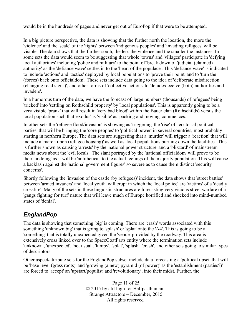would be in the hundreds of pages and never get out of EuroPop if that were to be attempted.

In a big picture perspective, the data is showing that the further north the location, the more the 'violence' and the 'scale' of the 'fights' between 'indigenous peoples' and 'invading refugees' will be visible. The data shows that the further south, the less the violence and the smaller the instances. In some sets the data would seem to be suggesting that whole 'towns' and 'villages' participate in 'defying local authorities' including 'police and military' to the point of 'break down of 'judicial (claimed) authority' as the 'defiance wave' settles in to the 'heart of the populace'. This 'defiance wave' is indicated to include 'actions' and 'tactics' deployed by local populations to 'prove their point' and to 'turn the (forces) back onto officialdom'. These sets include data going to the idea of 'deliberate misdirection (changing road signs)', and other forms of 'collective actions' to 'delude/deceive (both) authorities and invaders'.

In a humorous turn of the data, we have the forecast of 'large numbers (thousands) of refugees' being 'tricked' into 'settling on Rothschild property' by 'local populations'. This is apparently going to be a very visible 'prank' that will result in 'very bad blood' within the Bauer clan (Rothschilds) versus the local population such that 'exodus' is 'visible' as 'packing and moving' commences.

In other sets the 'refugee flood/invasion' is showing as 'triggering' the 'rise' of 'territorial political parties' that will be bringing the 'core peoples' to 'political power' in several countries, most probably starting in northern Europe. The data sets are suggesting that a 'murder' will trigger a 'reaction' that will include a 'march upon (refugee housing)' as well as 'local populations burning down the facilities'. This is further shown as causing 'arrests' by the 'national power structure' and a 'blizzard' of mainstream media news about the 'evil locals'. The slant portrayed by the 'national officialdom' will prove to be their 'undoing' as it will be 'antithetical' to the actual feelings of the majority population. This will cause a backlash against the 'national government figures' so severe as to cause them distinct 'security concerns'.

Shortly following the 'invasion of the castle (by refugees)' incident, the data shows that 'street battles' between 'armed invaders' and 'local youth' will erupt in which the 'local police' are 'victims' of a 'deadly crossfire'. Many of the sets in these linguistic structures are forecasting very vicious street warfare of a 'gangs fighting for turf' nature that will leave much of Europe horrified and shocked into mind-numbed states of 'denial'.

# *EnglandPop*

The data is showing that something 'big' is coming. There are 'crash' words associated with this something 'unknown big' that is going to 'splash' or 'splat' onto the 'A4'. This is going to be a 'something' that is totally unexpected given the 'venue' provided by the roadway. This area is extensively cross linked over to the SpaceGoatFarts entity where the termination sets include 'unknown', 'unexpected', 'not usual', 'lumpy', 'splat', 'splash', 'crash', and other sets going to similar types of descriptors.

Other aspect/attribute sets for the EnglandPop subset include data forecasting a 'political upset' that will be 'base level (grass roots)' and 'growing (a new) pyramid (of power)' as the 'establishment (parties?)' are forced to 'accept' an 'upstart/populist' and 'revolutionary', into their midst. Further, the

> Page 11 of 25 © 2015 by clif high for Halfpasthuman Strange Attractors – December, 2015 All rights reserved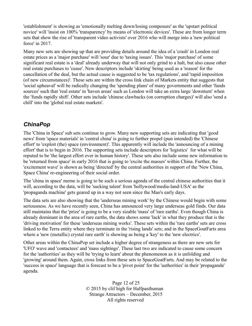'establishment' is showing as 'emotionally melting down/losing composure' as the 'upstart political novice' will 'insist on 100% 'transparency' by means of 'electronic devices'. These are from longer term sets that show the rise of 'transparent video activists' over 2016 who will merge into a 'new political force' in 2017.

Many new sets are showing up that are providing details around the idea of a 'crash' in London real estate prices as a 'major purchase' will 'sour' due to 'taxing issues'. This 'major purchase' of some significant real estate is a 'deal' already underway that will not only grind to a halt, but also cause other real estate purchases to 'cease'. New descriptors include 'skirting' being used as a 'reason' for the cancellation of the deal, but the actual cause is suggested to be 'tax regulations', and 'rapid imposition (of new circumstances)'. These sets are within the cross link chain of Markets entity that suggests that 'social upheaval' will be radically changing the 'spending plans' of many governments and other 'funds sources' such that 'real estate' in 'haven areas' such as London will take an extra large 'downturn' when the 'funds rapidly shift'. Other sets include 'chinese clawbacks (on corruption charges)' will also 'send a chill' into the 'global real estate markets'.

# *ChinaPop*

The 'China in Space' sub sets continue to grow. Many new supporting sets are indicating that 'good news' from 'space materials' in 'central china' is going to further propel (pun intended) the 'Chinese effort' to 'exploit (the) space (environment)'. This apparently will include the 'announcing of a mining effort' that is to begin in 2016. The supporting sets include descriptors for 'logistics' for what will be reputed to be 'the largest effort ever in human history'. These sets also include some new information to be 'returned from space' in early 2016 that is going to 'excite the masses' within China. Further, the 'excitement wave' is shown as being 'directed' by the central authorities in support of the 'New China, Space China' re-engineering of their social order.

The 'china in space' meme is going to be such a serious agenda of the central chinese authorities that it will, according to the data, will be 'sucking talent' from 'hollywood/media-land-USA' as the 'propaganda machine' gets geared up in a way not seen since the Mao's early days.

The data sets are also showing that the 'underseas mining work' by the Chinese would begin with some seriousness. As we have recently seen, China has announced very large underseas gold finds. Our data still maintains that the 'prize' is going to be a very sizable 'mass' of 'rare earths'. Even though China is already dominant in the area of rare earths, the data shows some 'lack' in what they produce that is the 'driving motivation' for these 'underseas mining works'. These sets within the 'rare earths' sets are cross linked to the Terra entity where they terminate in the 'rising lands' sets; and in the SpaceGoatFarts area where a 'new (metallic) crystal rare earth' is showing as being a 'key' to the 'new electrics'.

Other areas within the ChinaPop set include a higher degree of strangeness as there are new sets for 'UFO' wave and 'contactees' and 'mass sightings'. These last two are indicated to cause some concern for the 'authorities' as they will be 'trying to learn' about the phenomenon as it is unfolding and 'growing' around them. Again, cross links from these sets to SpaceGoatFarts. And may be related to the 'success in space' language that is forecast to be a 'pivot point' for the 'authorities' in their 'propaganda' agenda.

> Page 12 of 25 © 2015 by clif high for Halfpasthuman Strange Attractors – December, 2015 All rights reserved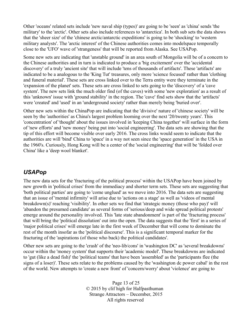Other 'oceans' related sets include 'new naval ship (types)' are going to be 'seen' as 'china' sends 'the military' to the 'arctic'. Other sets also include references to 'antarctica'. In both sub sets the data shows that the 'sheer size' of the 'chinese arctic/antarctic expeditions' is going to be 'shocking' to 'western military analysts'. The 'arctic interest' of the Chinese authorities comes into modelspace temporally close to the 'UFO' wave of 'strangeness' that will be reported from Alaska. See USAPop.

Some new sets are indicating that 'unstable ground' in an area south of Mongolia will be of a concern to the Chinese authorities and in turn is indicated to produce a 'big excitement' over the 'accidental discovery' of a truly 'ancient site' that will include 'tens of thousands of artifacts'. These 'artifacts' are indicated to be a analogous to the 'King Tut' treasures, only more 'science focused' rather than 'clothing and funeral material'. These sets are cross linked over to the Terra entity were they terminate in the 'expansion of the planet' sets. These sets are cross linked to sets going to the 'discovery' of a 'cave system'. The new sets link the much older find (of the caves) with some 'new exploration' as a result of this 'unknown' issue with 'ground stability' in the region. The 'cave' find sets show that the 'artifacts' were 'created' and 'used' in an 'underground society' rather than merely being 'buried over'.

Other new sets within the ChinaPop are indicating that the 'divisive' nature of 'chinese society' will be seen by the 'authorities' as China's largest problem looming over the next '20/twenty years'. This 'concentration' of 'thought' about the issues involved in 'keeping China together' will surface in the form of 'new efforts' and 'new money' being put into 'social engineering'. The data sets are showing that the tip of this effort will become visible over early 2016. The cross links would seem to indicate that the authorities are will 'bind' China to 'space' in a way not seen since the 'space generation' in the USA in the 1960's. Curiously, Hong Kong will be a center of the 'social engineering' that will be 'folded over China' like a 'deep wool blanket'.

# *USAPop*

The new data sets for the 'fracturing of the political process' within the USAPop have been joined by new growth in 'political crises' from the immediacy and shorter term sets. These sets are suggesting that 'both political parties' are going to 'come unglued' as we move into 2016. The data sets are suggesting that an issue of 'mental infirmity' will arise due to 'actions on a stage' as well as 'videos of mental breakdown(s)' reaching 'visibility'. In other sets we find that 'strategic money (those who pay)' will 'abandon the presumed candidate' as several forms of 'serious/deep and wide spread political protests' emerge around the personality involved. This 'late state abandonment' is part of the 'fracturing process' that will bring the 'political dissolution' out into the open. The data suggests that the 'first' in a series of 'major political crises' will emerge late in the first week of December that will come to dominate the rest of the month insofar as the 'political discourse'. This is a significant temporal marker for the fracturing of the 'aspirations (of those who back) the political candidates'.

Other new sets are going to the 'crash' of the 'neo-lib/cons' in 'washington DC' as 'several breakdowns' occur within the 'money system' that supports their 'academic model'. These breakdowns are indicated to 'gut (like a dead fish)' the 'political teams' that have been 'assembled' as the 'participants flee (the signs of a loser)'. These sets relate to the problems caused by the 'washington dc power cabal' in the rest of the world. New attempts to 'create a new front' of 'concern/worry' about 'violence' are going to

> Page 13 of 25 © 2015 by clif high for Halfpasthuman Strange Attractors – December, 2015 All rights reserved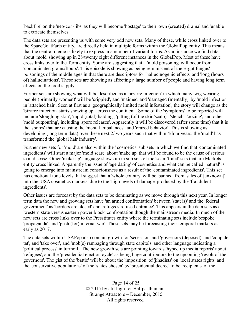'backfire' on the 'neo-con-libs' as they will become 'hostage' to their 'own (created) drama' and 'unable to extricate themselves'.

The data sets are presenting us with some very odd new sets. Many of these, while cross linked over to the SpaceGoatFarts entity, are directly held in multiple forms within the GlobalPop entity. This means that the central meme is likely to express in a number of variant forms. As an instance we find data about 'mold' showing up in 28/twenty eight different instances in the GlobalPop. Most of these have cross links over to the Terra entity. Some are suggesting that a 'mold poisoning' will occur from 'contaminated grains/flours'. This episode is showing as being reminiscent of the 'ergot fungus' poisonings of the middle ages in that there are descriptors for 'hallucinogenic effects' and 'long (hours of) hallucinations'. These sets are showing as affecting a large number of people and having long term effects on the food supply.

Further sets are showing what will be described as a 'bizarre infection' in which many 'wig wearing people (primarily women)' will be 'crippled', and 'maimed' and 'damaged (mentally)' by 'mold infection' in 'attached hair'. Seen at first as a 'geographically limited mold infestation', the story will change as the 'bizarre infection' starts showing up 'across the continent'. Some of the 'symptoms' to be reported will include 'sloughing skin', 'rapid (total) balding', 'pitting (of the skin/scalp)', 'stench', 'oozing', and other 'mold outpouring', including 'spore releases'. Apparently it will be discovered (after some time) that it is the 'spores' that are causing the 'mental imbalances', and 'crazed behavior'. This is showing as developing (long term data) over these next 2/two years such that within 4/four years, the 'mold' has transformed the 'global hair industry'.

Further new sets for 'mold' are also within the ' cosmetics' sub sets in which we find that 'contaminated ingredients' will start a major 'mold scare' about 'make up' that will be found to be the cause of serious skin disease. Other 'make-up' language shows up in sub sets of the 'scam/fraud' sets that are Markets entity cross linked. Apparently the issue of 'age dating' of cosmetics and what can be called 'natural' is going to emerge into mainstream consciousness as a result of the 'contaminated ingredients'. This set has emotional tone levels that suggest that a 'whole country' will be 'banned' from 'sales of [unknown]' into the 'USA cosmetics markets' due to the 'high levels of damage' produced by the 'fraudulent ingredients'.

Other issues are forecast by the data sets to be dominating as we move through this next year. In longer term data the new and growing sets have 'an armed confrontation' between 'state(s)' and the 'federal government' as 'borders are closed' and 'refugees refused entrance'. This appears in the data sets as a 'western state versus eastern power block' confrontation though the mainstream media. In much of the new sets are cross links over to the Presstitutes entity where the terminating sets include bespoke 'propaganda', and 'push (for) internal war'. These sets may be forecasting their temporal markers as early as 2017.

The data sets within USAPop also contain growth for 'secession' and 'governors (deposed)' and 'coup de tat', and 'take over', and 'mob(s) rampaging through state capitols' and other language indicating a 'political process' in turmoil. The new growth sets are pointing towards 'hyped up media reports' about 'refugees', and the 'presidential election cycle' as being huge contributors to the upcoming 'revolt of the governors'. The gist of the 'battle' will be about the 'imposition' of 'jihadists' on 'local states rights' and the 'conservative populations' of the 'states chosen' by 'presidential decree' to be 'recipients' of the

> Page 14 of 25 © 2015 by clif high for Halfpasthuman Strange Attractors – December, 2015 All rights reserved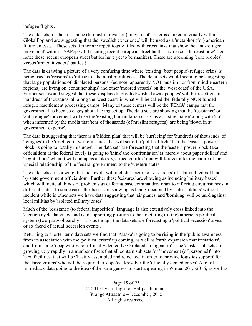'refugee flights'.

The data sets for the 'resistance (to muslim invasion) movement' are cross linked internally within GlobalPop and are suggesting that the 'swedish experience' will be used as a 'metaphor (for) american future unless...'. These sets further are repetitiously filled with cross links that show the 'anti-refugee movement' within USAPop will be 'citing recent european street battles' as 'reasons to resist now'. {ed note: these 'recent european street battles have yet to be manifest. These are upcoming 'core peoples' versus 'armed invaders' battles.}

The data is drawing a picture of a very confusing time where 'existing (boat people) refugee crisis' is being used as 'reasons' to 'refuse to take muslim refugees'. The detail sets would seem to be suggesting that large populations of 'displaced persons' {ed note: apparently NOT muslim nor from middle eastern regions} are living on 'container ships' and other 'moored vessels' on the 'west coast' of the USA. Further sets would suggest that these 'displaced/uprooted/washed away peoples' will be 'resettled' in 'hundreds of thousands' all along the 'west coast' in what will be called the 'federally NON funded refugee resettlement processing camps'. Many of these centers will be the 'FEMA' camps that the government has been so cagey about having set up. The data sets are showing that the 'resistance' or 'anti-refugee' movement will use the 'existing humanitarian crisis' as a 'first response' along with 'no' when informed by the media that 'tens of thousands (of muslim refugees)' are being 'flown in at government expense'.

The data is suggesting that there is a 'hidden plan' that will be 'surfacing' for 'hundreds of thousands' of 'refugees' to be 'resettled in western states' that will set off a 'political fight' that the 'eastern power block' is going to 'totally misjudge'. The data sets are forecasting that the 'eastern power block (aka officialdom at the federal level)' is going to 'think' the 'confrontation' is 'merely about paper dollars' and 'negotiations' when it will end up as a 'bloody, armed conflict' that will forever alter the nature of the 'special relationship' of the 'federal government' to the 'western states'.

The data sets are showing that the 'revolt' will include 'seizure of vast tracts' of 'claimed federal lands by state government officialdom'. Further these 'seizures' are showing as including 'military bases' which will incite all kinds of problems as differing base commanders react to differing circumstances in different states. In some cases the 'bases' are showing as being 'occupied by states soldiers' without incident while in other sets we have data suggesting that 'air planes' and 'bombing' will be used against local militias by 'isolated military bases'.

Much of the 'resistance (to federal imposition)' language is also extensively cross linked into the 'election cycle' language and is in supporting position to the 'fracturing (of the) american political system (two-party oligarchy)'. It is as though the data sets are forecasting a 'political secession' a year or so ahead of actual 'secession events'.

Returning to shorter term data sets we find that 'Alaska' is going to be rising in the 'public awareness' from its association with the 'political crises' up coming, as well as 'earth expansion manifestations', and from some 'deep woo-woo (officially denied UFO related strangeness)'. The 'alaska' sub sets are growing very rapidly in a number of sets that all contain sub sets for 'movement (of personnel)' into 'new facilities' that will be 'hastily assembled and relocated' in order to 'provide logistics support' for the 'large groups' who will be required to 'cope/deal/resolve' the 'officially denied crises'. A lot of immediacy data going to the idea of the 'strangeness' to start appearing in Winter, 2015/2016, as well as

> Page 15 of 25 © 2015 by clif high for Halfpasthuman Strange Attractors – December, 2015 All rights reserved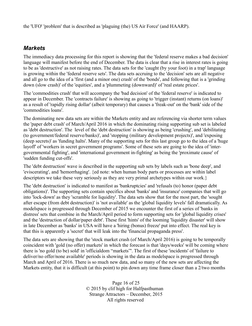the 'UFO' 'problem' that is described as 'plaguing (the) US Air Force' (and HAARP).

# *Markets*

The immediacy data processing for this report is showing that the 'federal reserve makes a bad decision' language will manifest before the end of December. The data is clear that a rise in interest rates is going to be as 'destructive' as not raising rates. The data sets for the 'caught (by your foot) in a trap' language is growing within the 'federal reserve sets'. The data sets accruing to the 'decision' sets are all negative and all go to the idea of a 'first (and a minor one) crash' of the 'bonds', and following that is a 'grinding down (slow crash)' of the 'equities', and a 'plummeting (downward)' of 'real estate prices'.

The 'commodities crash' that will accompany the 'bad decision' of the 'federal reserve' is indicated to appear in December. The 'contracts failure' is showing as going to 'trigger (instant) returns (on loans)' as a result of 'rapidly rising dollar' (albeit temporary) that causes a 'freak-out' on the 'bank' side of the 'commodities loans'.

The dominating new data sets are within the Markets entity and are referencing via shorter term values the 'paper debt crash' of March/April 2016 in which the dominating rising supporting sub set is labeled as 'debt destruction'. The level of the 'debt destruction' is showing as being 'crushing', and 'debilitating (to government/federal reserve/banks)', and 'stopping (military development projects)', and 'exposing (deep secrets)' as 'funding halts'. Many of the supporting sets for this last group go to the idea of a 'huge layoff' of 'workers in secret government programs'. Some of these sets are going to the idea of 'intergovernmental fighting', and 'international government in-fighting' as being the 'proximate cause' of 'sudden funding cut-offs'.

The 'debt destruction' wave is described in the supporting sub sets by labels such as 'bone deep', and 'eviscerating', and 'hemorrhaging'. {ed note: when human body parts or processes are within label descriptors we take these very seriously as they are very primal archetypes within our work.}

The 'debt destruction' is indicated to manifest as 'bankruptcies' and 'refusals (to) honor (paper debt obligations)'. The supporting sets contain specifics about 'banks' and 'insurance' companies that will go into 'lock-down' as they 'scramble for liquidity'. The data sets show that for the most part, the 'sought after escape (from debt destruction)' is 'not available' as the 'global liquidity levels' fall dramatically. As modelspace is progressed through December of 2015 we encounter the first of a series of 'banks in distress' sets that combine in the March/April period to form supporting sets for 'global liquidity crises' and the 'destruction of dollar/paper debt'. These first 'hints' of the looming 'liquidity disaster' will show in late December as 'banks' in USA will have a 'hiring (bonus) freeze' put into effect. The real key is that this is apparently a 'secret' that will leak into the 'financial propaganda press'.

The data sets are showing that the 'stock market crash (of March/April 2016) is going to be temporally coincident with 'gold (no offer) markets' in which the forecast is that 'days/weeks' will be coming where there is 'no gold (to be) sold' in 'officialdom "markets"'. The first of these 'incidents' of 'failure to deliver/no offer/none available' periods is showing in the data as modelspace is progressed through March and April of 2016. There is so much new data, and so many of the new sets are affecting the Markets entity, that it is difficult (at this point) to pin down any time frame closer than a 2/two months

> Page 16 of 25 © 2015 by clif high for Halfpasthuman Strange Attractors – December, 2015 All rights reserved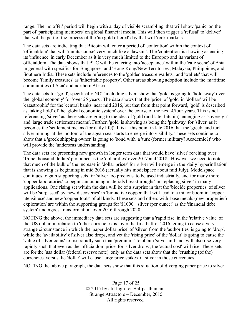range. The 'no offer' period will begin with a 'day of visible scrambling' that will show 'panic' on the part of 'participating members' on global financial media. This will then trigger a 'refusal' to 'deliver' that will be part of the process of the 'no gold offered' day that will 'rock markets'.

The data sets are indicating that Bitcoin will enter a period of 'contention' within the context of 'officialdom' that will 'run its course' very much like a 'lawsuit'. The 'contention' is showing as ending its 'influence' in early December as it is very much limited to the Europop and its variant of officialdom. The data shows that BTC will be entering into 'acceptance' within the 'cafe scene' of Asia in general with specifics for 'Singapore', and 'Hong Kong/New Territories', Malaysia, Philippines, and Southern India. These sets include references to the 'golden treasure wallets', and 'wallets' that will become 'family treasures' as 'inheritable property'. Other areas showing adoption include the 'maritime communities of Asia' and northern Africa.

The data sets for 'gold', specifically NOT including silver, show that 'gold' is going to 'hold sway' over the 'global economy' for 'over 25 years'. The data shows that the 'price' of 'gold' in 'dollars' will be 'catastrophic' for the 'central banks' near mid 2016, but that from that point forward, 'gold' is described as 'taking hold' of the 'global economic system' over the course of the next 4/four years. This is not referencing 'silver' as these sets are going to the idea of 'gold (and later bitcoin)' emerging as 'sovereign' and 'large trade settlement means'. Further, 'gold' is showing as being the 'pathway' for 'silver' as it becomes the 'settlement means (for daily life)'. It is at this point in late 2016 that the 'greek and turk silver mining' at the 'bottom of the agean sea' starts to emerge into visibility. These sets continue to show that a 'greek shipping owner' is going to 'bond with' a 'turk (former military? Academic?)' who will provide the 'underseas understanding'.

The data sets are presenting new growth in longer term data that would have 'silver' reaching over '1/one thousand dollars' per ounce as the 'dollar dies' over 2017 and 2018. However we need to note that much of the bulk of the increase in 'dollar prices' for 'silver will emerge in the 'daily hyperinflation' that is showing as beginning in mid 2016 (actually hits modelspace about mid July). Modelspace continues to gain supporting sets for 'silver too precious' to be used industrially, and for many more 'copper laboratories' to begin 'announcing materials breakthroughs' in 'replacing silver' in many applications. One rising set within the data will be of a surprise in that the 'biocide properties' of silver will be 'surpassed' by 'new discoveries' in 'bio-active copper' that will lead to a minor boom in 'copper utensil use' and new 'copper tools' of all kinds. These sets and others with 'base metals (new properties) exploration' are within the supporting groups for '\$1000+ silver (per ounce)' as the 'financial debt system' undergoes 'transformation' over 2016 through 2020.

NOTING the above, the immediacy data sets are suggesting that a 'rapid rise' in the 'relative value' of the 'US dollar' in relation to 'other currencies' is, over the first half of 2016, going to cause a very strange circumstance in which the 'paper dollar price' of 'silver' from the 'authorities' is going to 'drop', while the 'availability' of silver also drops, and yet the 'rising price' of the 'dollar' is going to cause the 'value of silver coins' to rise rapidly such that 'premiums' to obtain 'silver-in-hand' will also rise very rapidly such that even as the 'officialdom price' for 'silver drops', the 'actual cost' will rise. These sets are for the 'usa dollar (federal reserve note)' only as the data sets show that the 'crushing (of the) currencies' versus the 'dollar' will cause 'large price spikes' in silver in those currencies.

NOTING the above paragraph, the data sets show that this situation of diverging paper price to silver

Page 17 of 25 © 2015 by clif high for Halfpasthuman Strange Attractors – December, 2015 All rights reserved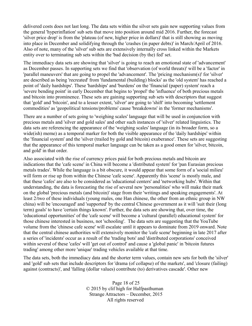delivered costs does not last long. The data sets within the silver sets gain new supporting values from the general 'hyperinflation' sub sets that move into position around mid 2016. Further, the forecast 'silver price drop' is from the 'plateau (of new, higher price in dollars)' that is still showing as moving into place in December and solidifying through the 'crashes (in paper debts)' in March/April of 2016. Also of note, many of the 'silver' sub sets are extensively internally cross linked within the Markets entity over to terminating sub sets within the 'bad decision (by the) fed' set.

The immediacy data sets are showing that 'silver' is going to reach an emotional state of 'advancement' as December passes. In supporting sets we find that 'observation (of world threats)' will be a 'factor' in 'parallel maneuvers' that are going to propel the 'advancement'. The 'pricing mechanism(s)' for 'silver' are described as being 'recreated' from 'fundamental (building) blocks' as the 'old system' has reached a point of 'daily hardships'. These 'hardships' and 'burdens' on the 'financial (paper) system' reach a 'severe bending point' in early December that begins to 'propel' the 'influence' of both precious metals and bitcoin into prominence. These sets are gaining supporting sub sets with descriptors that suggest that 'gold' and 'bitcoin', and to a lesser extent, 'silver' are going to 'shift' into becoming 'settlement commodities' as 'geopolitical tensions/problems' cause 'breakdowns' in the 'former mechanisms'.

There are a number of sets going to 'weighing scales' language that will be used in conjunction with precious metals and 'silver and gold sales' and other such instances of 'silver' related linguistics. The data sets are referencing the appearance of the 'weighing scales' language (in its broader form, so a wide(ish) meme) as a temporal marker for both the visible appearance of the 'daily hardships' within the 'financial system' and the 'silver (trailed by gold and bitcoin) exuberance'. These sets are suggesting that the appearance of this temporal marker language can be taken as a good omen for 'silver, bitcoin, and gold' in that order.

Also associated with the rise of currency prices paid for both precious metals and bitcoin are indications that the 'cafe scene' in China will become a 'distributed system' for 'pan Eurasian precious metals trades'. While the language is a bit obscure, it would appear that some form of a 'social milieu' will form or rise up from within the Chinese 'cafe scene'. Apparently this 'scene' is mostly male, and that these 'cafes' are also to be considered as 'educational centers' and 'networking hubs'. Within that understanding, the data is forecasting the rise of several new 'personalities' who will make their mark on the global 'precious metals (and bitcoin)' stage from their 'writings and speaking engagements'. At least 2/two of these individuals (young males, one Han chinese, the other from an ethnic group in NW china) will be 'encouraged' and 'supported' by the central Chinese government as it will 'suit their (long term) goals' to have 'certain things known'. Further, the data sets are showing that, over time, the 'educational opportunities' of the 'cafe scene' will become a 'cultural (parallel) educational system' for those chinese interested in business, not 'schooling'. The data sets are suggesting that the YouTube volume from the 'chinese cafe scene' will escalate until it appears to dominate from 2019 onward. Note that the central chinese authorities will extensively monitor the 'cafe scene' beginning in late 2017 after a series of 'incidents' occur as a result of the 'trading bots' and 'distributed corporations' conceived within several of these 'cafes' will 'get out of control' and cause a 'global panic' in 'bitcoin futures trading' among other more 'unique' trading vehicles available at that time.

The data sets, both the immediacy data and the shorter term values, contain new sets for both the 'silver' and 'gold' sub sets that include descriptors for 'drama (of collapse) of the markets', and 'closure (failing) against (contracts)', and 'falling (dollar values) contribute (to) derivatives cascade'. Other new

> Page 18 of 25 © 2015 by clif high for Halfpasthuman Strange Attractors – December, 2015 All rights reserved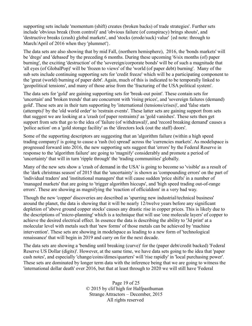supporting sets include 'momentum (shift) creates (broken backs) of trade strategies'. Further sets include 'obvious break (from control)' and 'obvious failure (of conspiracy) brings shouts', and 'destructive breaks (crash) global markets', and 'stocks (erode/suck) value' {ed note: through to March/April of 2016 when they 'plummet' }.

The data sets are also showing that by mid Fall, (northern hemisphere), 2016, the 'bonds markets' will be 'dregs' and 'debased' by the preceding 6 months. During these upcoming '6/six months (of) paper burning', the exciting 'destruction' of the 'sovereign/corporate bonds' will be of such a magnitude that 'all eyes (of GlobalPop)' will be 'frozen to views' of the 'world (of paper debt) burning'. Many of the sub sets include continuing supporting sets for 'credit freeze' which will be a participating component to the 'great (world) burning of paper debt'. Again, much of this is indicated to be temporally linked to 'geopolitical tensions', and many of those arise from the 'fracturing of the USA political system'.

The data sets for 'gold' are gaining supporting sets for 'break-out point'. These contain sets for 'uncertain' and 'broken trends' that are concurrent with 'rising prices', and 'sovereign failures (demand) gold'. These sets are in their turn supporting by 'international (tensions/crises)', and 'false starts (attempts)' by the 'old world order' to 'restrain events'. These latter sets are gaining support from sets that suggest we are looking at a 'crash (of paper restraints)' as 'gold vanishes'. These sets then get support from sets that go to the idea of 'failure (of withdrawal)', and 'record breaking demand' causes a 'police action' on a 'gold storage facility' as the 'directors lock (out the staff) doors'.

Some of the supporting descriptors are suggesting that an 'algorithm failure (within a high speed trading company)' is going to cause a 'rash (to) spread' across the 'currencies markets'. As modelspace is progressed forward into 2016, the new supporting sets suggest that 'errors' by the Federal Reserve in response to the 'algorithm failure' are going to 'magnify' considerably and promote a period of 'uncertainty' that will in turn 'ripple through' the 'trading communities' globally.

Many of the new sets show a 'crash of demand in the USA' is going to become so 'visible' as a result of the 'dark christmas season' of 2015 that the 'uncertainty' is shown as 'compounding errors' on the part of 'individual traders' and 'institutional managers' that will cause sudden 'price shifts' in a number of 'managed markets' that are going to 'trigger algorithm hiccups', and 'high speed trading out-of-range errors'. These are showing as magnifying the 'reaction of officialdom' in a very bad way.

Though the new 'copper' discoveries are described as 'spurring new industrial/technical business' around the planet, the data is showing that it will be nearly 12/twelve years before any significant depletion of 'above ground copper stocks' causes any drastic rise in copper prices. This is likely due to the descriptions of 'micro-planning' which is a technique that will use 'one molecule layers' of copper to achieve the desired electrical effect. In essence the data is describing the ability to '3d print' at a molecular level with metals such that 'new forms' of those metals can be achieved by 'machine intervention'. These sets are showing in modelspace as leading to a new form of 'technological renaissance' that will begin in 2019 and carry on for the next decade.

The data sets are showing a 'bending until breaking (curve)' for the (paper debt/credit backed) 'Federal Reserve US Dollar (digits)'. However, at the same time, we have data sets going to the idea that 'paper cash notes', and especially 'change/coins/dimes/quarters' will 'rise rapidly' in 'local purchasing power'. These sets are dominated by longer term data with the inference being that we are going to witness the 'international dollar death' over 2016, but that at least through to 2020 we will still have 'Federal

> Page 19 of 25 © 2015 by clif high for Halfpasthuman Strange Attractors – December, 2015 All rights reserved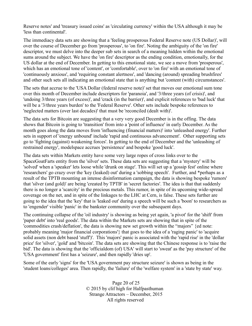Reserve notes' and 'treasury issued coins' as 'circulating currency' within the USA although it may be 'less than continental'.

The immediacy data sets are showing that a 'feeling prosperous Federal Reserve note (US Dollar)', will over the course of December go from 'prosperous', to 'on fire'. Noting the ambiguity of the 'on fire' descriptor, we must delve into the deeper sub sets in search of a meaning hidden within the emotional sums around the subject. We have the 'on fire' descriptor as the ending condition, emotionally, for the US dollar at the end of December. In getting to this emotional state, we see a move from 'prosperous', which has an emotional tone of 'content', or 'comfortable', over to 'on fire' with an emotional tone of 'continuously anxious', and 'requiring constant alertness', and 'dancing (around) spreading brushfires' and other such sets all indicating an emotional state that is anything but 'content (with) circumstances'.

The sets that accrue to the 'USA Dollar (federal reserve note)' set that moves our emotional sum tone over this month of December include descriptors for 'paranoia', and '3/three years (of crisis)', and 'undoing 3/three years (of excess)', and 'crack (in the barrier)', and explicit references to 'bad luck' that will be a '3/three years burden' to the 'Federal Reserve'. Other sets include bespoke references to 'neglected matters (over last decades)' that must be 'reconciled (dealt with)'.

The data sets for Bitcoin are suggesting that a very very good December is in the offing. The data shows that Bitcoin is going to 'transition' from into a 'point of influence' in early December. As the month goes along the data moves from 'influencing (financial matters)' into 'unleashed energy'. Further sets in support of 'energy unbound' include 'rapid and continuous advancement'. Other supporting sets go to 'fighting (against) weakening forces'. In getting to the end of December and the 'unleashing of restrained energy', modelspace accrues 'persistence' and bespoke 'good luck'.

The data sets within Markets entity have some very large ropes of cross links over to the SpaceGoatFarts entity from the 'silver' sets. These data sets are suggesting that a 'mystery' will be 'solved' when a 'speaker' lets loose while 'drunk on stage'. This will set up a 'gossip fest' online where 'researchers' go crazy over the 'key (leaked) out' during a 'sobbing speech'. Further, and \*perhaps as a result of the TPTB mounting an intense disinformation campaign, the data is showing bespoke 'rumors' that 'silver (and gold)' are being 'created by TPTB' in 'secret factories'. The idea is that that suddenly there is no longer a 'scarcity' in the precious metals. This rumor, in spite of its upcoming wide-spread coverage on the net, and in spite of the linkages to the LHC at Cern, is false. These sets further are going to the idea that the 'key' that is 'leaked out' during a speech will be such a 'boon' to researchers as to 'engender' visible 'panic' in the bankster community over the subsequent days.

The continuing collapse of the 'oil industry' is showing as being yet again, 'a pivot' for the 'shift' from 'paper debt' into 'real goods'. The data within the Markets sets are showing that in spite of the 'commodities crash/deflation', the data is showing new set growth within the "majors" {ed note: probably meaning 'major financial corporations'} that goes to the idea of a 'raging panic' to 'acquire solid assets (non debt based 'stuff')'. This 'majors' panic is associated with the 'rapid rise' in the 'dollar price' for 'silver', 'gold' and 'bitcoin'. The data sets are showing that the Chinese response is to 'raise the bid'. The data is showing that the 'officialdom (of) USA' will start to 'sweat' as the 'pay structure' of the 'USA government' first has a 'seizure', and then rapidly 'dries up'.

Some of the early 'signs' for the 'USA government pay structure seizure' is shown as being in the 'student loans/colleges' area. Then rapidly, the 'failure' of the 'welfare system' in a 'state by state' way.

> Page 20 of 25 © 2015 by clif high for Halfpasthuman Strange Attractors – December, 2015 All rights reserved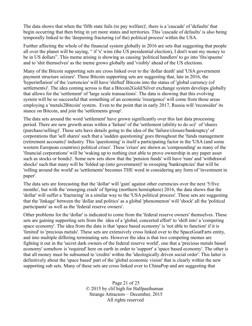The data shows that when the 'fifth state fails (to pay welfare)', there is a 'cascade' of 'defaults' that begin occurring that then bring in yet more states and territories. This 'cascade of defaults' is also being temporally linked to the 'deepening fracturing (of the) political process' within the USA.

Further affecting the whole of the financial system globally in 2016 are sets that suggesting that people all over the planet will be saying, " if 'x' wins (the US presidential election), I don't want my money to be in US dollars". This meme arising is showing as causing 'political handlers' to go into 'fits/spasms' and to 'shit themselves' as the meme grows globally and 'visibly' ahead of the US elections.

Many of the Bitcoin supporting sets are cross linked over to the 'dollar death' and 'USA government payment structure seizure'. These Bitcoin supporting sets are suggesting that, late in 2016, the 'hyperinflation' of the 'currencies' will have 'shifted' Bitcoin into the status of 'global currency (of settlements)'. The idea coming across is that a Bitcoin2Gold/Silver exchange system develops globally that allows for the 'settlement' of 'large scale transactions'. The data is showing that this evolving system will be so successful that something of an economic 'resurgence' will come from those areas employing a 'metals2Bitcoin' system. Even to the point that in early 2017, Russia will 'reconsider' its stance on Bitcoin, and join the 'settlements group'.

The data sets around the word 'settlement' have grown significantly over this last data processing period. There are new growth areas within a 'failure' of the 'settlement (ability to do so)' of 'shares (purchase/selling)'. These sets have details going to the idea of the 'failure/closure/bankruptcy' of corporations that 'sell shares' such that a 'sudden questioning' goes throughout the 'funds management (retirement accounts)' industry. This 'questioning' is itself a participating factor in the 'USA (and some western European countries) political crises'. These 'crises' are shown as 'compounding' as many of the 'financial corporations' will be 'waking up to nothing (not able to prove ownership in any paper asset such as stocks or bonds)'. Some new sets show that the 'pension funds' will have 'runs' and 'withdrawal shocks' such that many will be 'folded up (into government)' in sweeping 'bankruptcies' that will be 'rolling around the world' as 'settlements' becomes THE word in considering any form of 'investment in paper'.

The data sets are forecasting that the 'dollar' will 'gain' against other currencies over the next '5/five months', but with the 'emerging crash' of Spring (northern hemisphere) 2016, the data shows that the 'dollar' will suffer a 'fracturing' in a similar way to the 'USA political process'. These sets are suggesting that the 'linkage' between the 'dollar and politics' as a global 'phenomenon' will 'shock' all the 'political participants' as well as the 'federal reserve owners'.

Other problems for the 'dollar' is indicated to come from the 'federal reserve owners' themselves. These sets are gaining supporting sets from the idea of a 'global, concerted effort' to 'shift into' a 'competing space economy'. The idea from the data is that 'space based economy' is 'not able to function' if it is 'limited' to 'precious metals'. These sets are extensively cross linked over to the SpaceGoatFarts entity, and into multiple differing terminating sets. However the idea is that two competing memes are fighting it out in the 'secret dark owners of the federal reserve world', one that a 'precious metals based economy' somehow is 'required' here on earth in order to 'support' a 'space based economy'. The other is that all money must be subsumed to 'credits' within the 'ideologically driven social order'. This latter is definitively about the 'space based' part of the 'global economic vision' that is clearly within the new supporting sub sets. Many of these sets are cross linked over to ChinaPop and are suggesting that

> Page 21 of 25 © 2015 by clif high for Halfpasthuman Strange Attractors – December, 2015 All rights reserved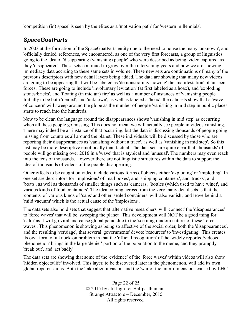'competition (in) space' is seen by the elites as a 'motivation path' for 'western millennials'.

# *SpaceGoatFarts*

In 2003 at the formation of the SpaceGoatFarts entity due to the need to house the many 'unknown', and 'officially denied' references, we encountered, as one of the very first forecasts, a group of linguistics going to the idea of 'disappearing (vanishing) people' who were described as being 'video captured' as they 'disappeared'. These sets continued to grow over the intervening years and now we are showing immediacy data accruing to these same sets in volume. These new sets are continuations of many of the previous descriptors with new detail layers being added. The data are showing that many new videos are going to be appearing that will be labeled as 'demonstrating/showing' the 'manifestation' of 'unseen forces'. These are going to include 'involuntary levitation' (at first labeled as a hoax), and 'exploding stones/bricks', and 'floating (in mid air) fire' as well as a number of instances of 'vanishing people'. Initially to be both 'denied', and 'unknown', as well as labeled a 'hoax', the data sets show that a 'wave of concern' will sweep around the globe as the number of people 'vanishing in mid step in public places' starts to reach into the hundreds.

Now to be clear, the language around the disappearances shows 'vanishing in mid step' as occurring when all these people go missing. This does not mean we will actually see people in videos vanishing. There may indeed be an instance of that occurring, but the data is discussing thousands of people going missing from countries all around the planet. These individuals will be discussed by those who are reporting their disappearances as 'vanishing without a trace', as well as 'vanishing in mid step'. So this last may be more descriptive emotionally than factual. The data sets are quite clear that 'thousands' of people will go missing over 2016 in a 'wave' that is atypical and 'unusual'. The numbers may even reach into the tens of thousands. However there are not linguistic structures within the data to support the idea of thousands of videos of the people disappearing.

Other effects to be caught on video include various forms of objects either 'exploding' or 'imploding'. In one set are descriptors for 'implosions' of 'mail boxes', and 'shipping containers', and 'trucks', and 'boats', as well as thousands of smaller things such as 'cameras', 'bottles (which used to have wine)', and various kinds of food containers'. The idea coming across from the very many detail sets is that the 'contents' of various kinds of 'cans' and other 'sealed containers' will 'also vanish', and leave behind a 'mild vacuum' which is the actual cause of the 'implosions'.

The data sets also hold sets that suggest that 'alternative researchers' will 'connect' the 'disappearances' to 'force waves' that will be 'sweeping the planet'. This development will NOT be a good thing for 'calm' as it will go viral and cause global panic due to the 'seeming random nature' of these 'force waves'. This phenomenon is showing as being so affective of the social order, both the 'disappearances', and the resulting 'verbiage', that several 'governments' devote 'resources' to 'investigating'. This creates its own form of a knock-on problem in that the 'official recognition' of the 'widely reported/videoed phenomenon' brings in the large 'denier' portion of the population to the meme, and they promptly 'freak out', and 'act badly'.

The data sets are showing that some of the 'evidence' of the 'force waves' within videos will also show 'hidden objects/life' involved. This layer, to be discovered later in the phenomenon, will add its own global repercussions. Both the 'fake alien invasion' and the 'war of the inter-dimensions caused by LHC'

> Page 22 of 25 © 2015 by clif high for Halfpasthuman Strange Attractors – December, 2015 All rights reserved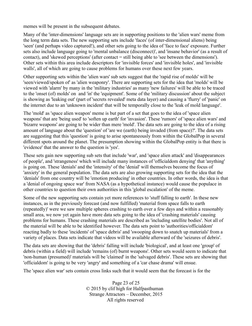memes will be present in the subsequent debates.

Many of the 'inter-dimensions' language sets are in supporting positions to the 'alien wars' meme from the long term data sets. The new supporting sets include 'faces' (of inter-dimensional aliens) being 'seen' (and perhaps video captured!), and other sets going to the idea of 'face to face' exposure. Further sets also include language going to 'mental unbalance (disconnect)', and 'insane behavior' (as a result of contact), and 'skewed perceptions' (after contact = still being able to 'see between the dimensions'). Other sets within this area include descriptors for 'invisible forces' and 'invisible holes', and 'invisible walls', all of which are going to cause problems for humans over these next few years.

Other supporting sets within the 'alien wars' sub sets suggest that the 'rapid rise of molds' will be 'seen/viewed/spoken of' as 'alien weaponry'. There are supporting sets for the idea that 'molds' will be viewed with 'alarm' by many in the 'military industries' as many 'new failures' will be able to be traced to the 'onset (of) molds' on and 'in' the 'equipment'. Some of the 'military discussion' about the subject is showing as 'leaking out' (part of 'secrets revealed' meta data layer) and causing a 'flurry' of 'panic' on the internet due to an 'unknown incident' that will be temporally close to the 'leak of mold language'.

The 'mold' as 'space alien weapon' meme is but part of a set that goes to the idea of 'space alien weapons' that are 'being used' to 'soften up earth' for 'invasion'. These 'rumors' of 'space alien wars' and 'bizarre weapons' are going to be wider than mere 'mold'. The data sets are going to the idea of a rising amount of language about the 'question' of 'are we (earth) being invaded (from space)?'. The data sets are suggesting that this 'question' is going to arise spontaneously from within the GlobalPop in several different spots around the planet. The presumption showing within the GlobalPop entity is that there is 'evidence' that the answer to the question is 'yes'.

These sets gain new supporting sub sets that include 'war', and 'space alien attack' and 'disappearances of people', and 'strangeness' which will include many instances of 'officialdom denying' that 'anything' is going on. These 'denials' and the 'intensity' of the 'denial' will themselves become the focus of 'anxiety' in the general population. The data sets are also growing supporting sets for the idea that the 'denials' from one country will be 'emotion producing' in other countries. In other words, the idea is that a 'denial of ongoing space war' from NASA (as a hypothetical instance) would cause the populace in other countries to question their own authorities in this 'global escalation' of the meme.

Some of the new supporting sets contain yet more references to 'stuff falling to earth'. In these new instances, as in the previously forecast (and now fulfilled) 'material from space falls to earth (repeatedly)' were we saw multiple spheres crashing to earth over a few days and within a reasonably small area, we now yet again have more data sets going to the idea of 'crashing materials' causing problems for humans. These crashing materials are described as 'including satellite bodies'. Not all of the material will be able to be identified however. The data sets point to 'authorities/officialdom' reacting badly to these 'incidents' of 'space debris' and 'swooping down to snatch up materials' from a variety of places. Data sets indicate that videos will be available afterward of the 'seizures of debris'.

The data sets are showing that the 'debris' falling will include 'biological', and at least one 'group' of debris (within a field) will include 'remains (of) burnt weapons'. Other sets would seem to indicate that 'non-human (presumed)' materials will be 'claimed' in the 'salvaged debris'. These sets are showing that 'officialdom' is going to be very 'angry' and something of a 'car chase drama' will ensue.

The 'space alien war' sets contain cross links such that it would seem that the forecast is for the

Page 23 of 25 © 2015 by clif high for Halfpasthuman Strange Attractors – December, 2015 All rights reserved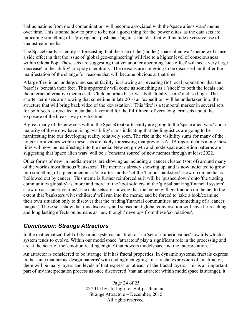'hallucinations from mold contamination' will become associated with the 'space aliens wars' meme over time. This is some how to prove to be not a good thing for the 'power elites' as the data sets are indicating something of a 'propaganda push back' against the idea that will include excessive use of 'mainstream media'.

The SpaceGoatFarts entity is forecasting that the 'rise of the (hidden) space alien war' meme will cause a side effect in that the issue of 'global geo-engineering' will rise to a higher level of consciousness within GlobalPop. These sets are suggesting that yet another upcoming 'side effect' will see a very large 'decrease' in the 'ability' to 'spray chemtrails'. The reasons are not going to be discussed until after the manifestation of the change for reasons that will become obvious at that time.

A large 'fire' in an 'underground secret facility' is showing as 'revealing (to) local population' that the 'base' is 'beneath their feet'. This apparently will come as something as a 'shock' to both the locals and the internet alternative media as this 'hidden urban base' was both 'totally secret' and 'so huge'. The shorter term sets are showing that sometime in late 2016 an 'expedition' will be undertaken into the structure that will bring back video of the 'devastation'. This 'fire' is a temporal marker in several sets for both 'secrets revealed' meta data layer and for the fulfillment of very long term sets about the 'exposure of the break-away civilization'.

A great many of the new sets within the SpaceGoatFarts entity are going to the 'space alien wars' and a majority of these now have rising 'visibility' sums indicating that the linguistics are going to be manifesting into our developing reality relatively soon. The rise in the visibility sums for many of the longer term values within these sets are likely forecasting that previous ALTA report details along these lines will now be manifesting into the media. New set growth and modelspace accretion patterns are suggesting that 'space alien wars' will be a 'constant source' of new memes through at least 2022.

Other forms of new 'in media memes' are showing as including a 'cancer cluster' (sort of) around many of the worlds most famous 'banksters'. The meme is already showing up, and is now indicated to grow into something of a phenomenon as 'one after another' of the 'famous banksters' show up on media as 'hollowed out by cancer'. This meme is further reinforced as it will be 'pushed down' onto 'the trading communities globally' as 'more and more' of the 'foot soldiers' in the 'global banking/financial system' show up as 'cancer victims'. The data sets are showing that the meme will get traction on the net to the extent that 'banksters wives/children' will run into the meme, and be forced to 'take a look/examine' their own situation only to discover that the 'trading/financial communities' are something of a 'cancer magnet'. These sets show that this discovery and subsequent global conversation will have far reaching and long lasting effects on humans as 'new thought' develops from these 'correlations'.

# *Conclusion: Strange Attractors*

In the mathematical field of dynamic systems, an attractor is a 'set of numeric values' towards which a system tends to evolve. Within our modelspace, 'attractors' play a significant role in the processing and are at the heart of the 'emotion reading engine' that powers modelspace and the interpretation.

An attractor is considered to be 'strange' if it has fractal properties. In dynamic systems, fractals express in the same manner as 'design patterns' with coding/debugging. In a fractal expression of an attractor, there will be many layers and levels of that expression at each of the fractal layers. This is an important part of my interpretation process as once discovered (that an attractor within modelspace is strange), it

> Page 24 of 25 © 2015 by clif high for Halfpasthuman Strange Attractors – December, 2015 All rights reserved